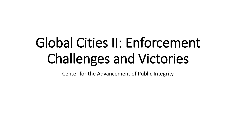# Global Cities II: Enforcement Challenges and Victories

Center for the Advancement of Public Integrity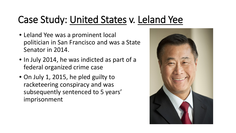## Case Study: United States v. Leland Yee

- Leland Yee was a prominent local politician in San Francisco and was a State Senator in 2014.
- In July 2014, he was indicted as part of a federal organized crime case
- On July 1, 2015, he pled guilty to racketeering conspiracy and was subsequently sentenced to 5 years' imprisonment

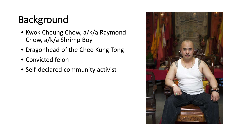# Background

- Kwok Cheung Chow, a/k/a Raymond Chow, a/k/a Shrimp Boy
- Dragonhead of the Chee Kung Tong
- Convicted felon
- Self-declared community activist

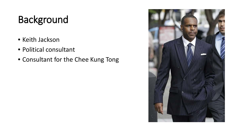# Background

- Keith Jackson
- Political consultant
- Consultant for the Chee Kung Tong

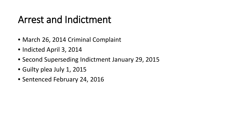#### Arrest and Indictment

- March 26, 2014 Criminal Complaint
- Indicted April 3, 2014
- Second Superseding Indictment January 29, 2015
- Guilty plea July 1, 2015
- Sentenced February 24, 2016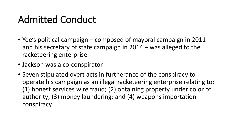#### Admitted Conduct

- Yee's political campaign composed of mayoral campaign in 2011 and his secretary of state campaign in 2014 – was alleged to the racketeering enterprise
- Jackson was a co-conspirator
- Seven stipulated overt acts in furtherance of the conspiracy to operate his campaign as an illegal racketeering enterprise relating to: (1) honest services wire fraud; (2) obtaining property under color of authority; (3) money laundering; and (4) weapons importation conspiracy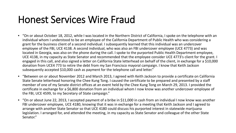#### Honest Services Wire Fraud

- "On or about October 18, 2012, while I was located in the Northern District of California, I spoke on the telephone with an individual whom I understood to be an employee of the California Department of Public Health who was considering a grant for the business client of a second individual. I subsequently learned that this individual was an undercover employee of the FBI, UCE 4138. A second individual, who was also an FBI undercover employee (UCE 4773) and was located in Georgia, was also on the phone during the call. I spoke to the purported Public Health Department employee, UCE 4138, in my capacity as State Senator and recommended that the employee consider UCE 4773's client for the grant. I engaged in this call, and also signed a letter on California State letterhead on behalf of the client, in exchange for a \$10,000 donation from UCE4 773 to retire the debt from my San Francisco mayoral campaign. I know that Keith Jackson subsequently accepted \$10,000 cash as payment for the telephone call and letter."
- "Between on or about November 2012 and March 2013, I agreed with Keith Jackson to provide a certificate on California State Senate letterhead honoring the Chee Kung Tong. I caused the certificate to be prepared and presented by a staff member of one of my Senate district offices at an event held by the Chee Kung Tong on March 29, 2013. I provided the certificate in exchange for a \$6,800 donation from an individual whom I now know was another undercover employee of the FBI, UCE 4599, to my Secretary of State campaign."
- "On or about June 22, 2013, I accepted payment of a bribe in \$11,000 in cash from an individual I now know was another FBI undercover employee, UCE 4180, knowing that it was in exchange for a meeting that Keith Jackson and I agreed to arrange with another State Senator so that UCE 4180 could discuss his purported interest in statewide marijuana legislation. I arranged for, and attended the meeting, in my capacity as State Senator and colleague of the other State Senator."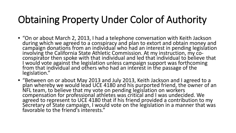## Obtaining Property Under Color of Authority

- "On or about March 2, 2013, I had a telephone conversation with Keith Jackson during which we agreed to a conspiracy and plan to extort and obtain money and campaign donations from an individual who had an interest in pending legislation involving the California State Athletic Commission. At my instruction, my co-<br>conspirator then spoke with that individual and led that individual to believe that I would vote against the legislation unless campaign support was forthcoming from that individual and others who had an interest in the passage of the legislation."
- "Between on or about May 2013 and July 2013, Keith Jackson and I agreed to a plan whereby we would lead UCE 4180 and his purported friend, the owner of an NFL team, to believe that my vote on pending legislation on workers compensation for professional athletes was critical and I was undecided. We<br>agreed to represent to UCE 4180 that if his friend provided a contribution to my Secretary of State campaign, I would vote on the legislation in a manner that was favorable to the friend's interests."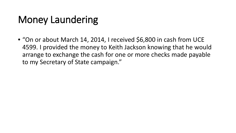### Money Laundering

• "On or about March 14, 2014, I received \$6,800 in cash from UCE 4599. I provided the money to Keith Jackson knowing that he would arrange to exchange the cash for one or more checks made payable to my Secretary of State campaign."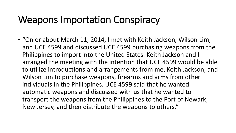#### Weapons Importation Conspiracy

• "On or about March 11, 2014, I met with Keith Jackson, Wilson Lim, and UCE 4599 and discussed UCE 4599 purchasing weapons from the Philippines to import into the United States. Keith Jackson and I arranged the meeting with the intention that UCE 4599 would be able to utilize introductions and arrangements from me, Keith Jackson, and Wilson Lim to purchase weapons, firearms and arms from other individuals in the Philippines. UCE 4599 said that he wanted automatic weapons and discussed with us that he wanted to transport the weapons from the Philippines to the Port of Newark, New Jersey, and then distribute the weapons to others."